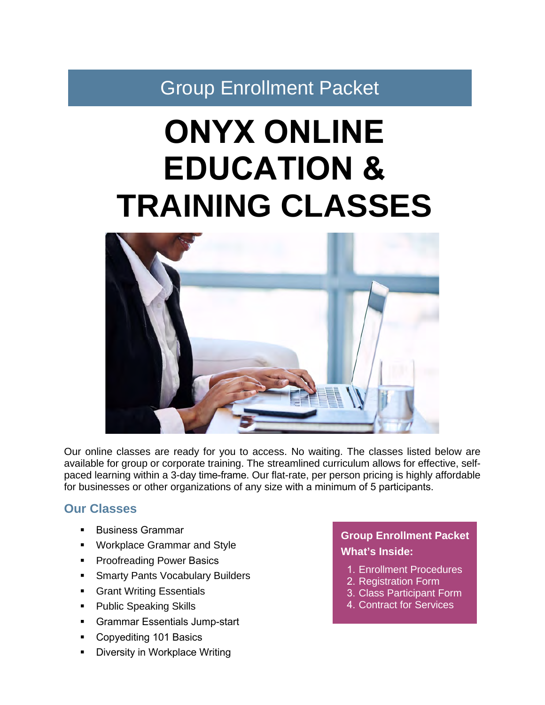Group Enrollment Packet

# **ONYX ONLINE EDUCATION & TRAINING CLASSES**



Our online classes are ready for you to access. No waiting. The classes listed below are available for group or corporate training. The streamlined curriculum allows for effective, selfpaced learning within a 3-day time-frame. Our flat-rate, per person pricing is highly affordable for businesses or other organizations of any size with a minimum of 5 participants.

#### **Our Classes**

- Business Grammar
- Workplace Grammar and Style
- **Proofreading Power Basics**
- Smarty Pants Vocabulary Builders
- **Grant Writing Essentials**
- Public Speaking Skills
- Grammar Essentials Jump-start
- Copyediting 101 Basics
- Diversity in Workplace Writing

#### **Group Enrollment Packet What's Inside:**

- 1. Enrollment Procedures
- 2. Registration Form
- 3. Class Participant Form
- 4. Contract for Services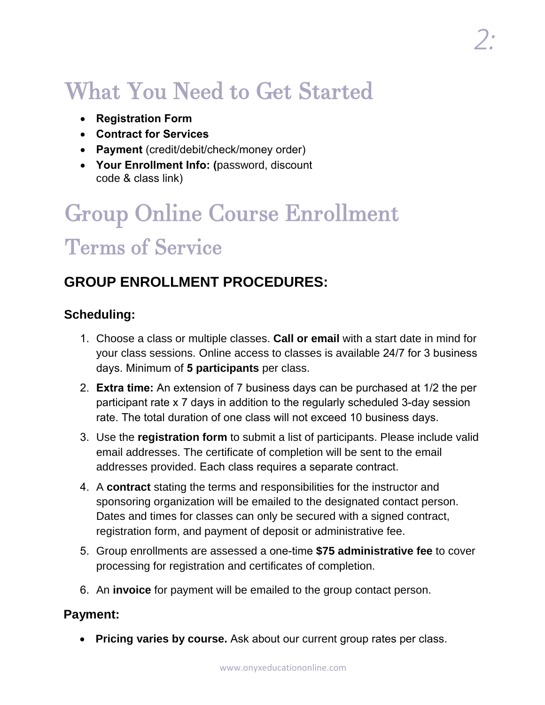## What You Need to Get Started

- **Registration Form**
- **Contract for Services**
- **Payment** (credit/debit/check/money order)
- **Your Enrollment Info: (**password, discount code & class link)

## Group Online Course Enrollment Terms of Service

#### **GROUP ENROLLMENT PROCEDURES:**

#### **Scheduling:**

- 1. Choose a class or multiple classes. **Call or email** with a start date in mind for your class sessions. Online access to classes is available 24/7 for 3 business days. Minimum of **5 participants** per class.
- 2. **Extra time:** An extension of 7 business days can be purchased at 1/2 the per participant rate x 7 days in addition to the regularly scheduled 3-day session rate. The total duration of one class will not exceed 10 business days.
- 3. Use the **registration form** to submit a list of participants. Please include valid email addresses. The certificate of completion will be sent to the email addresses provided. Each class requires a separate contract.
- 4. A **contract** stating the terms and responsibilities for the instructor and sponsoring organization will be emailed to the designated contact person. Dates and times for classes can only be secured with a signed contract, registration form, and payment of deposit or administrative fee.
- 5. Group enrollments are assessed a one-time **\$75 administrative fee** to cover processing for registration and certificates of completion.
- 6. An **invoice** for payment will be emailed to the group contact person.

#### **Payment:**

• **Pricing varies by course.** Ask about our current group rates per class.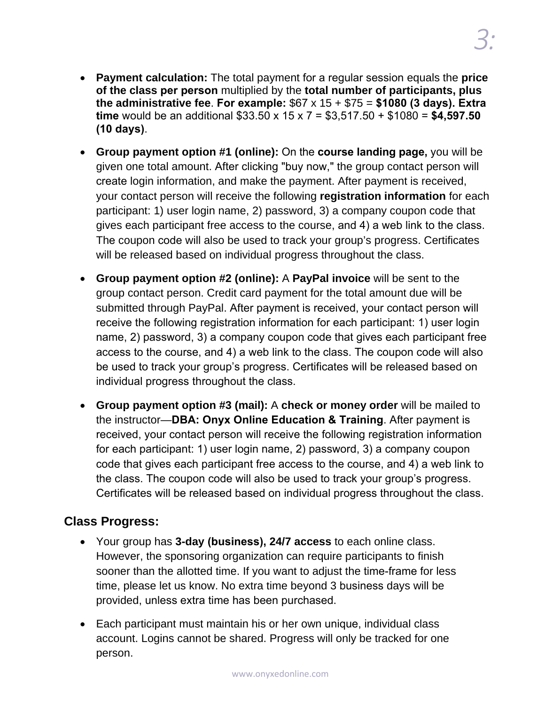- **Payment calculation:** The total payment for a regular session equals the **price of the class per person** multiplied by the **total number of participants, plus the administrative fee**. **For example:** \$67 x 15 + \$75 = **\$1080 (3 days). Extra time** would be an additional \$33.50 x 15 x 7 = \$3,517.50 + \$1080 = **\$4,597.50 (10 days)**.
- **Group payment option #1 (online):** On the **course landing page,** you will be given one total amount. After clicking "buy now," the group contact person will create login information, and make the payment. After payment is received, your contact person will receive the following **registration information** for each participant: 1) user login name, 2) password, 3) a company coupon code that gives each participant free access to the course, and 4) a web link to the class. The coupon code will also be used to track your group's progress. Certificates will be released based on individual progress throughout the class.
- **Group payment option #2 (online):** A **PayPal invoice** will be sent to the group contact person. Credit card payment for the total amount due will be submitted through PayPal. After payment is received, your contact person will receive the following registration information for each participant: 1) user login name, 2) password, 3) a company coupon code that gives each participant free access to the course, and 4) a web link to the class. The coupon code will also be used to track your group's progress. Certificates will be released based on individual progress throughout the class.
- **Group payment option #3 (mail):** A **check or money order** will be mailed to the instructor—**DBA: Onyx Online Education & Training**. After payment is received, your contact person will receive the following registration information for each participant: 1) user login name, 2) password, 3) a company coupon code that gives each participant free access to the course, and 4) a web link to the class. The coupon code will also be used to track your group's progress. Certificates will be released based on individual progress throughout the class.

#### **Class Progress:**

- Your group has **3-day (business), 24/7 access** to each online class. However, the sponsoring organization can require participants to finish sooner than the allotted time. If you want to adjust the time-frame for less time, please let us know. No extra time beyond 3 business days will be provided, unless extra time has been purchased.
- Each participant must maintain his or her own unique, individual class account. Logins cannot be shared. Progress will only be tracked for one person.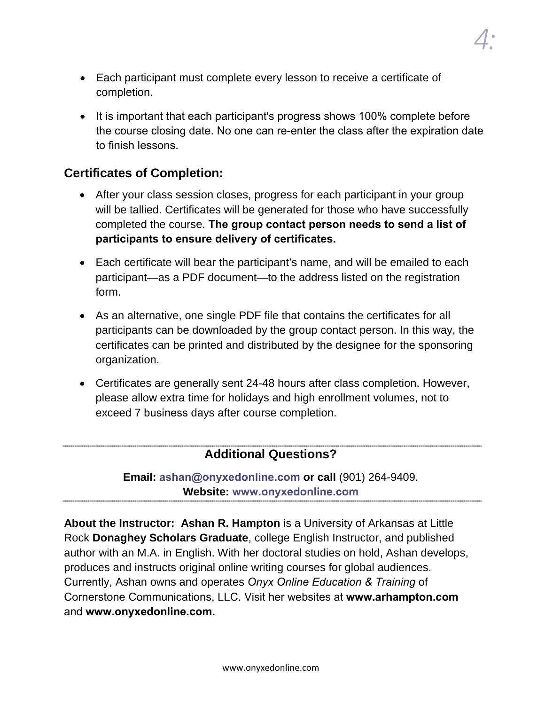- *4:*
- Each participant must complete every lesson to receive a certificate of completion.
- It is important that each participant's progress shows 100% complete before the course closing date. No one can re-enter the class after the expiration date to finish lessons.

#### **Certificates of Completion:**

- After your class session closes, progress for each participant in your group will be tallied. Certificates will be generated for those who have successfully completed the course. **The group contact person needs to send a list of participants to ensure delivery of certificates.**
- Each certificate will bear the participant's name, and will be emailed to each participant—as a PDF document—to the address listed on the registration form.
- As an alternative, one single PDF file that contains the certificates for all participants can be downloaded by the group contact person. In this way, the certificates can be printed and distributed by the designee for the sponsoring organization.
- Certificates are generally sent 24-48 hours after class completion. However, please allow extra time for holidays and high enrollment volumes, not to exceed 7 business days after course completion.

#### **Additional Questions?**

**Email: ashan@onyxedonline.com or call** (901) 264-9409. **Website: www.onyxedonline.com**

**About the Instructor: Ashan R. Hampton** is a University of Arkansas at Little Rock **Donaghey Scholars Graduate**, college English Instructor, and published author with an M.A. in English. With her doctoral studies on hold, Ashan develops, produces and instructs original online writing courses for global audiences. Currently, Ashan owns and operates *Onyx Online Education & Training* of Cornerstone Communications, LLC. Visit her websites at **www.arhampton.com** and **www.onyxedonline.com.**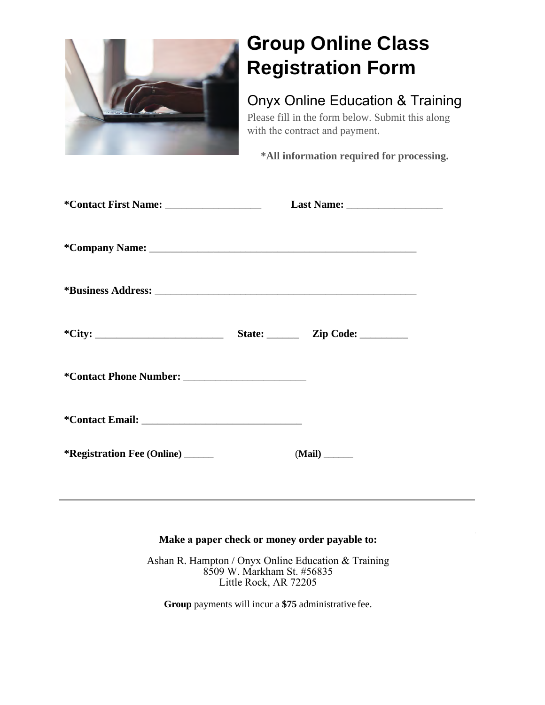

### **Group Online Class Registration Form**

#### Onyx Online Education & Training

Please fill in the form below. Submit this along with the contract and payment.

**\*All information required for processing.**

| $\text{``City:}\n$                               | State: <u>Zip Code: ________</u> |
|--------------------------------------------------|----------------------------------|
|                                                  |                                  |
|                                                  |                                  |
| <i>*</i> <b>Registration Fee (Online)</b> ______ | $(Mail)$ <sub>_______</sub>      |

#### **Make a paper check or money order payable to:**

Ashan R. Hampton / Onyx Online Education & Training 8509 W. Markham St. #56835 Little Rock, AR 72205

**Group** payments will incur a **\$75** administrative fee.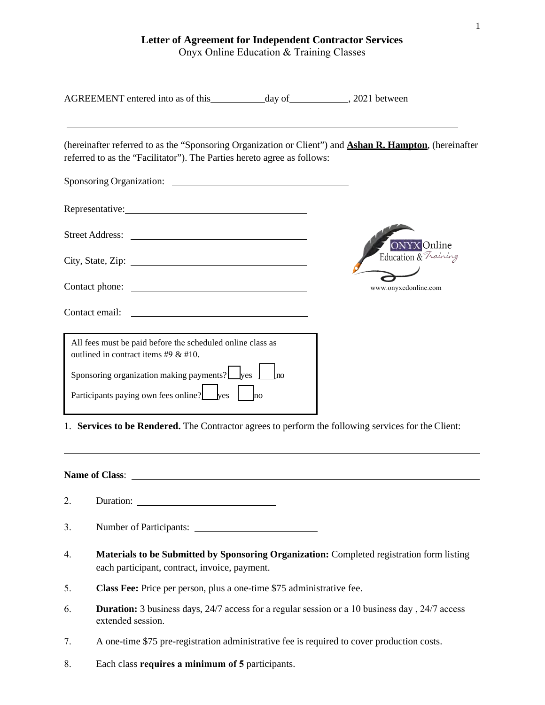**Letter of Agreement for Independent Contractor Services** 

Onyx Online Education & Training Classes

|                | referred to as the "Facilitator"). The Parties hereto agree as follows:                                                                                                                                                                                                                                                                                                                  |  | (hereinafter referred to as the "Sponsoring Organization or Client") and <b>Ashan R. Hampton</b> , (hereinafter |  |  |
|----------------|------------------------------------------------------------------------------------------------------------------------------------------------------------------------------------------------------------------------------------------------------------------------------------------------------------------------------------------------------------------------------------------|--|-----------------------------------------------------------------------------------------------------------------|--|--|
|                |                                                                                                                                                                                                                                                                                                                                                                                          |  |                                                                                                                 |  |  |
|                | Representative:                                                                                                                                                                                                                                                                                                                                                                          |  |                                                                                                                 |  |  |
|                |                                                                                                                                                                                                                                                                                                                                                                                          |  |                                                                                                                 |  |  |
|                |                                                                                                                                                                                                                                                                                                                                                                                          |  | <b>ONYX</b> Online<br>Education & Training                                                                      |  |  |
|                |                                                                                                                                                                                                                                                                                                                                                                                          |  | www.onyxedonline.com                                                                                            |  |  |
|                | <u> 1989 - Johann Barn, mars and de Branch Barn, mars and de Branch Barn, mars and de Branch Barn, mars and de Br</u><br>Contact email:                                                                                                                                                                                                                                                  |  |                                                                                                                 |  |  |
|                | All fees must be paid before the scheduled online class as<br>outlined in contract items #9 $&$ #10.<br>Sponsoring organization making payments? $\Box$ yes $\Box$ no<br>Participants paying own fees online? $\frac{1}{\cos}$ $\frac{1}{\cos}$ $\frac{1}{\cos}$ $\frac{1}{\cos}$<br>1. Services to be Rendered. The Contractor agrees to perform the following services for the Client: |  |                                                                                                                 |  |  |
| Name of Class: |                                                                                                                                                                                                                                                                                                                                                                                          |  |                                                                                                                 |  |  |
| 2.             |                                                                                                                                                                                                                                                                                                                                                                                          |  |                                                                                                                 |  |  |
| 3.             | Number of Participants:                                                                                                                                                                                                                                                                                                                                                                  |  |                                                                                                                 |  |  |
| 4.             | each participant, contract, invoice, payment.                                                                                                                                                                                                                                                                                                                                            |  | Materials to be Submitted by Sponsoring Organization: Completed registration form listing                       |  |  |
| 5.             | Class Fee: Price per person, plus a one-time \$75 administrative fee.                                                                                                                                                                                                                                                                                                                    |  |                                                                                                                 |  |  |
| 6.             | extended session.                                                                                                                                                                                                                                                                                                                                                                        |  | <b>Duration:</b> 3 business days, 24/7 access for a regular session or a 10 business day, 24/7 access           |  |  |

- 7. A one-time \$75 pre-registration administrative fee is required to cover production costs.
- 8. Each class **requires a minimum of 5** participants.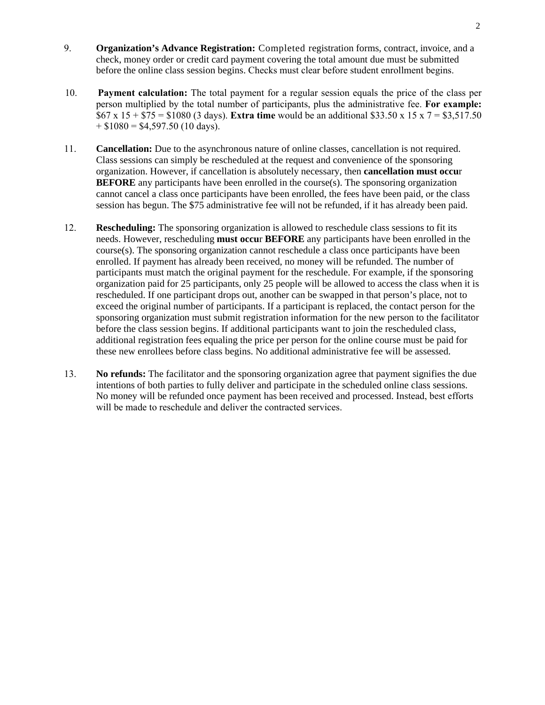- 9. **Organization's Advance Registration:** Completed registration forms, contract, invoice, and a check, money order or credit card payment covering the total amount due must be submitted before the online class session begins. Checks must clear before student enrollment begins.
- 10. **Payment calculation:** The total payment for a regular session equals the price of the class per person multiplied by the total number of participants, plus the administrative fee. **For example:** \$67 x 15 + \$75 = \$1080 (3 days). **Extra time** would be an additional \$33.50 x 15 x 7 = \$3,517.50  $+$  \$1080 = \$4,597.50 (10 days).
- 11. **Cancellation:** Due to the asynchronous nature of online classes, cancellation is not required. Class sessions can simply be rescheduled at the request and convenience of the sponsoring organization. However, if cancellation is absolutely necessary, then **cancellation must occu**r **BEFORE** any participants have been enrolled in the course(s). The sponsoring organization cannot cancel a class once participants have been enrolled, the fees have been paid, or the class session has begun. The \$75 administrative fee will not be refunded, if it has already been paid.
- 12. **Rescheduling:** The sponsoring organization is allowed to reschedule class sessions to fit its needs. However, rescheduling **must occu**r **BEFORE** any participants have been enrolled in the course(s). The sponsoring organization cannot reschedule a class once participants have been enrolled. If payment has already been received, no money will be refunded. The number of participants must match the original payment for the reschedule. For example, if the sponsoring organization paid for 25 participants, only 25 people will be allowed to access the class when it is rescheduled. If one participant drops out, another can be swapped in that person's place, not to exceed the original number of participants. If a participant is replaced, the contact person for the sponsoring organization must submit registration information for the new person to the facilitator before the class session begins. If additional participants want to join the rescheduled class, additional registration fees equaling the price per person for the online course must be paid for these new enrollees before class begins. No additional administrative fee will be assessed.
- 13. **No refunds:** The facilitator and the sponsoring organization agree that payment signifies the due intentions of both parties to fully deliver and participate in the scheduled online class sessions. No money will be refunded once payment has been received and processed. Instead, best efforts will be made to reschedule and deliver the contracted services.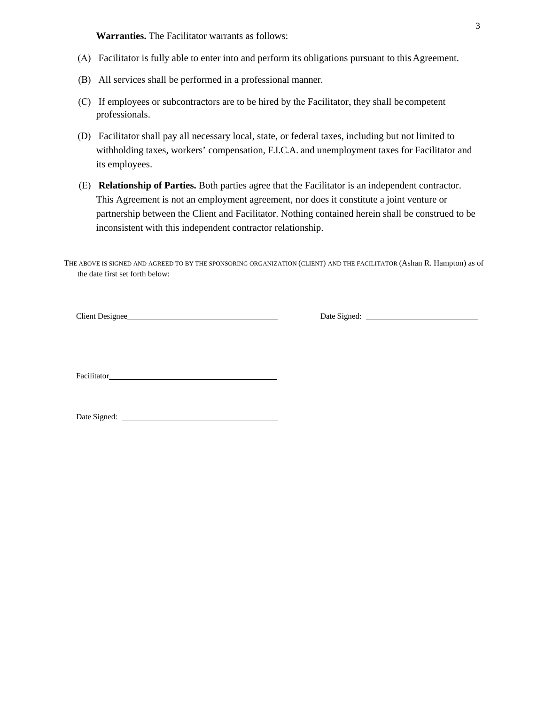**Warranties.** The Facilitator warrants as follows:

- (A) Facilitator is fully able to enter into and perform its obligations pursuant to this Agreement.
- (B) All services shall be performed in a professional manner.
- (C) If employees or subcontractors are to be hired by the Facilitator, they shall be competent professionals.
- (D) Facilitator shall pay all necessary local, state, or federal taxes, including but not limited to withholding taxes, workers' compensation, F.I.C.A. and unemployment taxes for Facilitator and its employees.
- (E) **Relationship of Parties.** Both parties agree that the Facilitator is an independent contractor. This Agreement is not an employment agreement, nor does it constitute a joint venture or partnership between the Client and Facilitator. Nothing contained herein shall be construed to be inconsistent with this independent contractor relationship.

THE ABOVE IS SIGNED AND AGREED TO BY THE SPONSORING ORGANIZATION (CLIENT) AND THE FACILITATOR (Ashan R. Hampton) as of the date first set forth below:

Client Designee Date Signed: Date Signed:

**Facilitator** 

| Date Signed: |  |
|--------------|--|
|              |  |